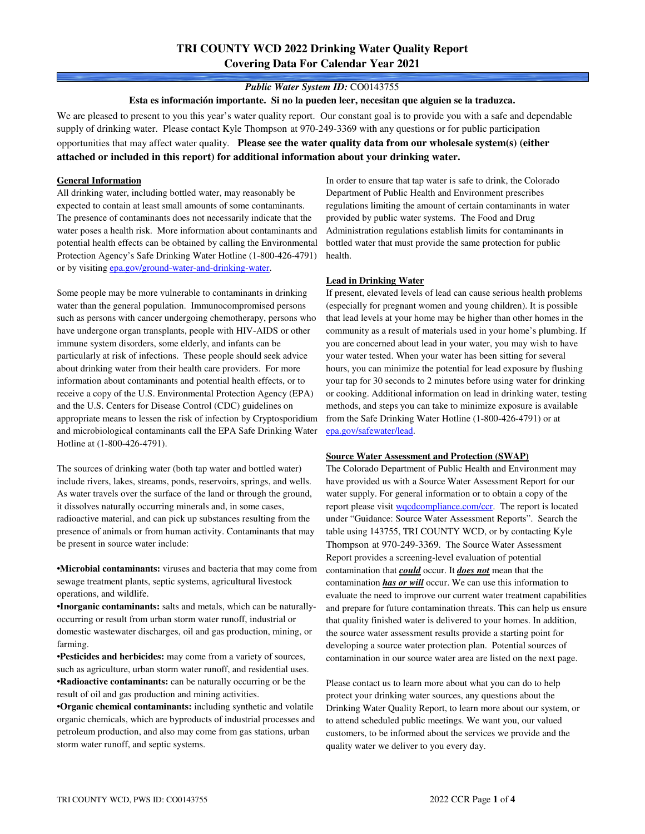# **TRI COUNTY WCD 2022 Drinking Water Quality Report Covering Data For Calendar Year 2021**

#### *Public Water System ID:* CO0143755

**Esta es información importante. Si no la pueden leer, necesitan que alguien se la traduzca.**

We are pleased to present to you this year's water quality report. Our constant goal is to provide you with a safe and dependable supply of drinking water. Please contact Kyle Thompson at 970-249-3369 with any questions or for public participation opportunities that may affect water quality. **Please see the water quality data from our wholesale system(s) (either attached or included in this report) for additional information about your drinking water.**

#### **General Information**

All drinking water, including bottled water, may reasonably be expected to contain at least small amounts of some contaminants. The presence of contaminants does not necessarily indicate that the water poses a health risk. More information about contaminants and potential health effects can be obtained by calling the Environmental Protection Agency's Safe Drinking Water Hotline (1-800-426-4791) or by visiting epa.gov/ground-water-and-drinking-water.

Some people may be more vulnerable to contaminants in drinking water than the general population. Immunocompromised persons such as persons with cancer undergoing chemotherapy, persons who have undergone organ transplants, people with HIV-AIDS or other immune system disorders, some elderly, and infants can be particularly at risk of infections. These people should seek advice about drinking water from their health care providers. For more information about contaminants and potential health effects, or to receive a copy of the U.S. Environmental Protection Agency (EPA) and the U.S. Centers for Disease Control (CDC) guidelines on appropriate means to lessen the risk of infection by Cryptosporidium and microbiological contaminants call the EPA Safe Drinking Water Hotline at (1-800-426-4791).

The sources of drinking water (both tap water and bottled water) include rivers, lakes, streams, ponds, reservoirs, springs, and wells. As water travels over the surface of the land or through the ground, it dissolves naturally occurring minerals and, in some cases, radioactive material, and can pick up substances resulting from the presence of animals or from human activity. Contaminants that may be present in source water include:

**•Microbial contaminants:** viruses and bacteria that may come from sewage treatment plants, septic systems, agricultural livestock operations, and wildlife.

**•Inorganic contaminants:** salts and metals, which can be naturallyoccurring or result from urban storm water runoff, industrial or domestic wastewater discharges, oil and gas production, mining, or farming.

•**Pesticides and herbicides:** may come from a variety of sources, such as agriculture, urban storm water runoff, and residential uses. **•Radioactive contaminants:** can be naturally occurring or be the result of oil and gas production and mining activities.

**•Organic chemical contaminants:** including synthetic and volatile organic chemicals, which are byproducts of industrial processes and petroleum production, and also may come from gas stations, urban storm water runoff, and septic systems.

In order to ensure that tap water is safe to drink, the Colorado Department of Public Health and Environment prescribes regulations limiting the amount of certain contaminants in water provided by public water systems. The Food and Drug Administration regulations establish limits for contaminants in bottled water that must provide the same protection for public health.

#### **Lead in Drinking Water**

If present, elevated levels of lead can cause serious health problems (especially for pregnant women and young children). It is possible that lead levels at your home may be higher than other homes in the community as a result of materials used in your home's plumbing. If you are concerned about lead in your water, you may wish to have your water tested. When your water has been sitting for several hours, you can minimize the potential for lead exposure by flushing your tap for 30 seconds to 2 minutes before using water for drinking or cooking. Additional information on lead in drinking water, testing methods, and steps you can take to minimize exposure is available from the Safe Drinking Water Hotline (1-800-426-4791) or at epa.gov/safewater/lead.

#### **Source Water Assessment and Protection (SWAP)**

The Colorado Department of Public Health and Environment may have provided us with a Source Water Assessment Report for our water supply. For general information or to obtain a copy of the report please visit wqcdcompliance.com/ccr. The report is located under "Guidance: Source Water Assessment Reports". Search the table using 143755, TRI COUNTY WCD, or by contacting Kyle Thompson at 970-249-3369. The Source Water Assessment Report provides a screening-level evaluation of potential contamination that *could* occur. It *does not* mean that the contamination *has or will* occur. We can use this information to evaluate the need to improve our current water treatment capabilities and prepare for future contamination threats. This can help us ensure that quality finished water is delivered to your homes. In addition, the source water assessment results provide a starting point for developing a source water protection plan. Potential sources of contamination in our source water area are listed on the next page.

Please contact us to learn more about what you can do to help protect your drinking water sources, any questions about the Drinking Water Quality Report, to learn more about our system, or to attend scheduled public meetings. We want you, our valued customers, to be informed about the services we provide and the quality water we deliver to you every day.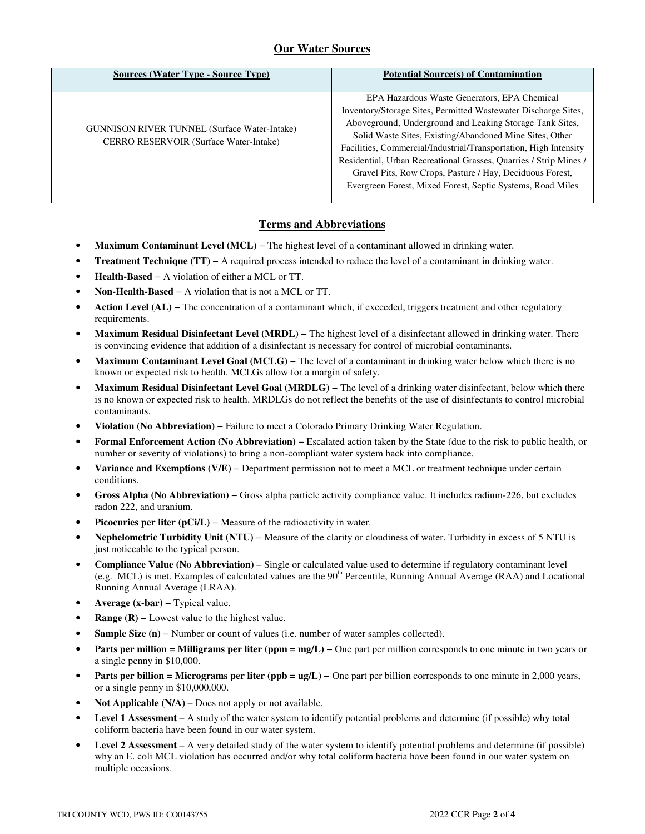## **Our Water Sources**

| <b>Sources (Water Type - Source Type)</b>                                                     | <b>Potential Source(s) of Contamination</b>                                                                                                                                                                                                                                                                                                                                                                                                                                                              |
|-----------------------------------------------------------------------------------------------|----------------------------------------------------------------------------------------------------------------------------------------------------------------------------------------------------------------------------------------------------------------------------------------------------------------------------------------------------------------------------------------------------------------------------------------------------------------------------------------------------------|
| <b>GUNNISON RIVER TUNNEL (Surface Water-Intake)</b><br>CERRO RESERVOIR (Surface Water-Intake) | EPA Hazardous Waste Generators, EPA Chemical<br>Inventory/Storage Sites, Permitted Wastewater Discharge Sites,<br>Aboveground, Underground and Leaking Storage Tank Sites,<br>Solid Waste Sites, Existing/Abandoned Mine Sites, Other<br>Facilities, Commercial/Industrial/Transportation, High Intensity<br>Residential, Urban Recreational Grasses, Quarries / Strip Mines /<br>Gravel Pits, Row Crops, Pasture / Hay, Deciduous Forest,<br>Evergreen Forest, Mixed Forest, Septic Systems, Road Miles |

### **Terms and Abbreviations**

- **Maximum Contaminant Level (MCL)** − The highest level of a contaminant allowed in drinking water.
- **Treatment Technique (TT)** − A required process intended to reduce the level of a contaminant in drinking water.
- **Health-Based** − A violation of either a MCL or TT.
- **Non-Health-Based** − A violation that is not a MCL or TT.
- **Action Level (AL)** − The concentration of a contaminant which, if exceeded, triggers treatment and other regulatory requirements.
- **Maximum Residual Disinfectant Level (MRDL)** − The highest level of a disinfectant allowed in drinking water. There is convincing evidence that addition of a disinfectant is necessary for control of microbial contaminants.
- **Maximum Contaminant Level Goal (MCLG)** − The level of a contaminant in drinking water below which there is no known or expected risk to health. MCLGs allow for a margin of safety.
- **Maximum Residual Disinfectant Level Goal (MRDLG)** − The level of a drinking water disinfectant, below which there is no known or expected risk to health. MRDLGs do not reflect the benefits of the use of disinfectants to control microbial contaminants.
- **Violation (No Abbreviation)** − Failure to meet a Colorado Primary Drinking Water Regulation.
- **Formal Enforcement Action (No Abbreviation)** − Escalated action taken by the State (due to the risk to public health, or number or severity of violations) to bring a non-compliant water system back into compliance.
- **Variance and Exemptions (V/E)** − Department permission not to meet a MCL or treatment technique under certain conditions.
- **Gross Alpha (No Abbreviation)** − Gross alpha particle activity compliance value. It includes radium-226, but excludes radon 222, and uranium.
- **Picocuries per liter (pCi/L)** − Measure of the radioactivity in water.
- **Nephelometric Turbidity Unit (NTU)** − Measure of the clarity or cloudiness of water. Turbidity in excess of 5 NTU is just noticeable to the typical person.
- **Compliance Value (No Abbreviation)** Single or calculated value used to determine if regulatory contaminant level (e.g. MCL) is met. Examples of calculated values are the  $90<sup>th</sup>$  Percentile, Running Annual Average (RAA) and Locational Running Annual Average (LRAA).
- **Average (x-bar)** − Typical value.
- **Range (R)** Lowest value to the highest value.
- **Sample Size (n)** − Number or count of values (i.e. number of water samples collected).
- **Parts per million = Milligrams per liter (ppm = mg/L)** One part per million corresponds to one minute in two years or a single penny in \$10,000.
- **Parts per billion = Micrograms per liter (ppb = ug/L)** − One part per billion corresponds to one minute in 2,000 years, or a single penny in \$10,000,000.
- **Not Applicable (N/A)** Does not apply or not available.
- **Level 1 Assessment** A study of the water system to identify potential problems and determine (if possible) why total coliform bacteria have been found in our water system.
- **Level 2 Assessment** A very detailed study of the water system to identify potential problems and determine (if possible) why an E. coli MCL violation has occurred and/or why total coliform bacteria have been found in our water system on multiple occasions.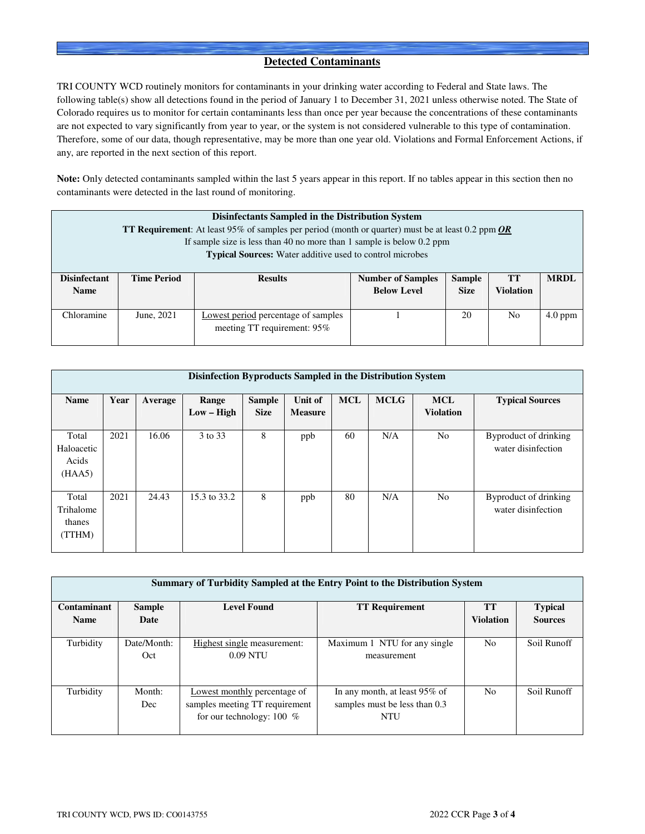### **Detected Contaminants**

TRI COUNTY WCD routinely monitors for contaminants in your drinking water according to Federal and State laws. The following table(s) show all detections found in the period of January 1 to December 31, 2021 unless otherwise noted. The State of Colorado requires us to monitor for certain contaminants less than once per year because the concentrations of these contaminants are not expected to vary significantly from year to year, or the system is not considered vulnerable to this type of contamination. Therefore, some of our data, though representative, may be more than one year old. Violations and Formal Enforcement Actions, if any, are reported in the next section of this report.

**Note:** Only detected contaminants sampled within the last 5 years appear in this report. If no tables appear in this section then no contaminants were detected in the last round of monitoring.

| Disinfectants Sampled in the Distribution System<br><b>TT Requirement:</b> At least 95% of samples per period (month or quarter) must be at least 0.2 ppm $OR$<br>If sample size is less than 40 no more than 1 sample is below $0.2$ ppm<br><b>Typical Sources:</b> Water additive used to control microbes |                    |                                                                                                                                                  |  |    |                |           |  |  |  |  |
|--------------------------------------------------------------------------------------------------------------------------------------------------------------------------------------------------------------------------------------------------------------------------------------------------------------|--------------------|--------------------------------------------------------------------------------------------------------------------------------------------------|--|----|----------------|-----------|--|--|--|--|
| <b>Disinfectant</b><br><b>Name</b>                                                                                                                                                                                                                                                                           | <b>Time Period</b> | <b>Sample</b><br><b>TT</b><br><b>MRDL</b><br><b>Number of Samples</b><br><b>Results</b><br><b>Below Level</b><br><b>Violation</b><br><b>Size</b> |  |    |                |           |  |  |  |  |
|                                                                                                                                                                                                                                                                                                              |                    |                                                                                                                                                  |  |    |                |           |  |  |  |  |
| Chloramine                                                                                                                                                                                                                                                                                                   | June, 2021         | Lowest period percentage of samples<br>meeting TT requirement: 95%                                                                               |  | 20 | N <sub>0</sub> | $4.0$ ppm |  |  |  |  |

| Disinfection Byproducts Sampled in the Distribution System |      |         |                       |                              |                           |            |             |                                |                                             |  |
|------------------------------------------------------------|------|---------|-----------------------|------------------------------|---------------------------|------------|-------------|--------------------------------|---------------------------------------------|--|
| <b>Name</b>                                                | Year | Average | Range<br>$Low - High$ | <b>Sample</b><br><b>Size</b> | Unit of<br><b>Measure</b> | <b>MCL</b> | <b>MCLG</b> | <b>MCL</b><br><b>Violation</b> | <b>Typical Sources</b>                      |  |
| Total<br>Haloacetic<br>Acids<br>(HAA5)                     | 2021 | 16.06   | 3 to 33               | 8                            | ppb                       | 60         | N/A         | N <sub>o</sub>                 | Byproduct of drinking<br>water disinfection |  |
| Total<br>Trihalome<br>thanes<br>(TTHM)                     | 2021 | 24.43   | 15.3 to 33.2          | 8                            | ppb                       | 80         | N/A         | N <sub>o</sub>                 | Byproduct of drinking<br>water disinfection |  |

|                            | Summary of Turbidity Sampled at the Entry Point to the Distribution System |                                                                                               |                                                                              |                  |             |  |  |  |  |  |  |  |
|----------------------------|----------------------------------------------------------------------------|-----------------------------------------------------------------------------------------------|------------------------------------------------------------------------------|------------------|-------------|--|--|--|--|--|--|--|
| Contaminant<br><b>Name</b> | <b>Sample</b>                                                              | <b>Typical</b><br><b>Sources</b>                                                              |                                                                              |                  |             |  |  |  |  |  |  |  |
|                            | Date                                                                       |                                                                                               |                                                                              | <b>Violation</b> |             |  |  |  |  |  |  |  |
| Turbidity                  | Date/Month:<br>Oct.                                                        | Highest single measurement:<br>$0.09$ NTU                                                     | Maximum 1 NTU for any single<br>measurement                                  | N <sub>0</sub>   | Soil Runoff |  |  |  |  |  |  |  |
| Turbidity                  | Month:<br>Dec                                                              | Lowest monthly percentage of<br>samples meeting TT requirement<br>for our technology: $100\%$ | In any month, at least 95% of<br>samples must be less than 0.3<br><b>NTU</b> | N <sub>0</sub>   | Soil Runoff |  |  |  |  |  |  |  |